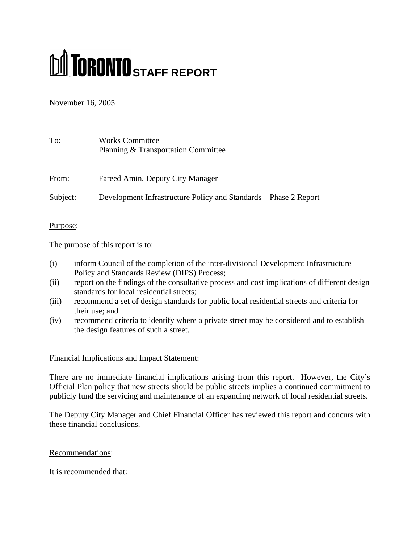# **M** TORONTO STAFF REPORT

November 16, 2005

| To:      | <b>Works Committee</b><br>Planning & Transportation Committee    |
|----------|------------------------------------------------------------------|
| From:    | Fareed Amin, Deputy City Manager                                 |
| Subject: | Development Infrastructure Policy and Standards – Phase 2 Report |

Purpose:

The purpose of this report is to:

- (i) inform Council of the completion of the inter-divisional Development Infrastructure Policy and Standards Review (DIPS) Process;
- (ii) report on the findings of the consultative process and cost implications of different design standards for local residential streets;
- (iii) recommend a set of design standards for public local residential streets and criteria for their use; and
- (iv) recommend criteria to identify where a private street may be considered and to establish the design features of such a street.

# Financial Implications and Impact Statement:

There are no immediate financial implications arising from this report. However, the City's Official Plan policy that new streets should be public streets implies a continued commitment to publicly fund the servicing and maintenance of an expanding network of local residential streets.

The Deputy City Manager and Chief Financial Officer has reviewed this report and concurs with these financial conclusions.

# Recommendations:

It is recommended that: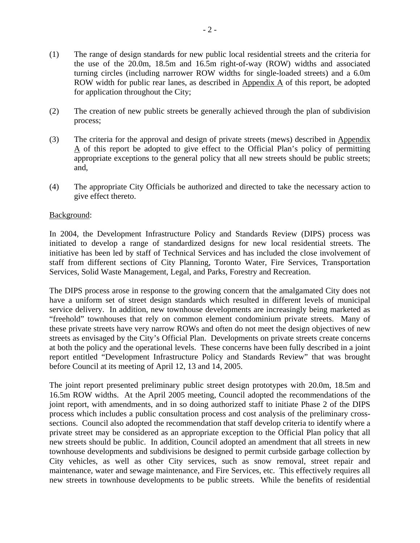- (1) The range of design standards for new public local residential streets and the criteria for the use of the 20.0m, 18.5m and 16.5m right-of-way (ROW) widths and associated turning circles (including narrower ROW widths for single-loaded streets) and a 6.0m ROW width for public rear lanes, as described in  $Appendix A$  of this report, be adopted for application throughout the City;
- (2) The creation of new public streets be generally achieved through the plan of subdivision process;
- (3) The criteria for the approval and design of private streets (mews) described in Appendix A of this report be adopted to give effect to the Official Plan's policy of permitting appropriate exceptions to the general policy that all new streets should be public streets; and,
- (4) The appropriate City Officials be authorized and directed to take the necessary action to give effect thereto.

## Background:

In 2004, the Development Infrastructure Policy and Standards Review (DIPS) process was initiated to develop a range of standardized designs for new local residential streets. The initiative has been led by staff of Technical Services and has included the close involvement of staff from different sections of City Planning, Toronto Water, Fire Services, Transportation Services, Solid Waste Management, Legal, and Parks, Forestry and Recreation.

The DIPS process arose in response to the growing concern that the amalgamated City does not have a uniform set of street design standards which resulted in different levels of municipal service delivery. In addition, new townhouse developments are increasingly being marketed as "freehold" townhouses that rely on common element condominium private streets. Many of these private streets have very narrow ROWs and often do not meet the design objectives of new streets as envisaged by the City's Official Plan. Developments on private streets create concerns at both the policy and the operational levels. These concerns have been fully described in a joint report entitled "Development Infrastructure Policy and Standards Review" that was brought before Council at its meeting of April 12, 13 and 14, 2005.

The joint report presented preliminary public street design prototypes with 20.0m, 18.5m and 16.5m ROW widths. At the April 2005 meeting, Council adopted the recommendations of the joint report, with amendments, and in so doing authorized staff to initiate Phase 2 of the DIPS process which includes a public consultation process and cost analysis of the preliminary crosssections. Council also adopted the recommendation that staff develop criteria to identify where a private street may be considered as an appropriate exception to the Official Plan policy that all new streets should be public. In addition, Council adopted an amendment that all streets in new townhouse developments and subdivisions be designed to permit curbside garbage collection by City vehicles, as well as other City services, such as snow removal, street repair and maintenance, water and sewage maintenance, and Fire Services, etc. This effectively requires all new streets in townhouse developments to be public streets. While the benefits of residential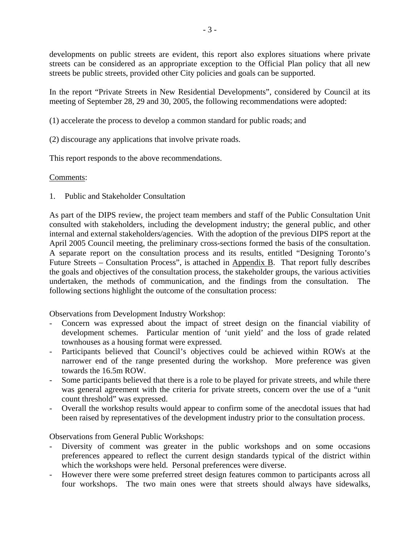developments on public streets are evident, this report also explores situations where private streets can be considered as an appropriate exception to the Official Plan policy that all new streets be public streets, provided other City policies and goals can be supported.

In the report "Private Streets in New Residential Developments", considered by Council at its meeting of September 28, 29 and 30, 2005, the following recommendations were adopted:

(1) accelerate the process to develop a common standard for public roads; and

(2) discourage any applications that involve private roads.

This report responds to the above recommendations.

# Comments:

1. Public and Stakeholder Consultation

As part of the DIPS review, the project team members and staff of the Public Consultation Unit consulted with stakeholders, including the development industry; the general public, and other internal and external stakeholders/agencies. With the adoption of the previous DIPS report at the April 2005 Council meeting, the preliminary cross-sections formed the basis of the consultation. A separate report on the consultation process and its results, entitled "Designing Toronto's Future Streets – Consultation Process", is attached in  $\Delta$ ppendix  $\overline{B}$ . That report fully describes the goals and objectives of the consultation process, the stakeholder groups, the various activities undertaken, the methods of communication, and the findings from the consultation. The following sections highlight the outcome of the consultation process:

Observations from Development Industry Workshop:

- Concern was expressed about the impact of street design on the financial viability of development schemes. Particular mention of 'unit yield' and the loss of grade related townhouses as a housing format were expressed.
- Participants believed that Council's objectives could be achieved within ROWs at the narrower end of the range presented during the workshop. More preference was given towards the 16.5m ROW.
- Some participants believed that there is a role to be played for private streets, and while there was general agreement with the criteria for private streets, concern over the use of a "unit count threshold" was expressed.
- Overall the workshop results would appear to confirm some of the anecdotal issues that had been raised by representatives of the development industry prior to the consultation process.

Observations from General Public Workshops:

- Diversity of comment was greater in the public workshops and on some occasions preferences appeared to reflect the current design standards typical of the district within which the workshops were held. Personal preferences were diverse.
- However there were some preferred street design features common to participants across all four workshops. The two main ones were that streets should always have sidewalks,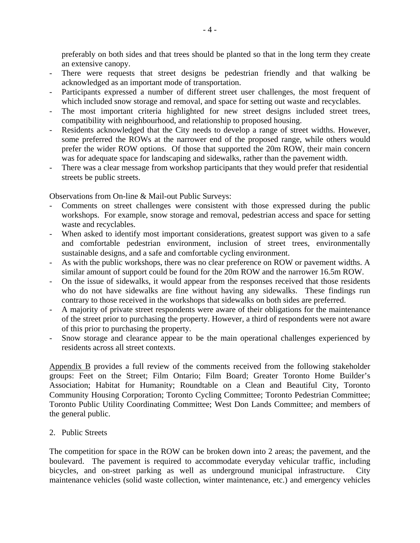preferably on both sides and that trees should be planted so that in the long term they create an extensive canopy.

- There were requests that street designs be pedestrian friendly and that walking be acknowledged as an important mode of transportation.
- Participants expressed a number of different street user challenges, the most frequent of which included snow storage and removal, and space for setting out waste and recyclables.
- The most important criteria highlighted for new street designs included street trees, compatibility with neighbourhood, and relationship to proposed housing.
- Residents acknowledged that the City needs to develop a range of street widths. However, some preferred the ROWs at the narrower end of the proposed range, while others would prefer the wider ROW options. Of those that supported the 20m ROW, their main concern was for adequate space for landscaping and sidewalks, rather than the pavement width.
- There was a clear message from workshop participants that they would prefer that residential streets be public streets.

Observations from On-line & Mail-out Public Surveys:

- Comments on street challenges were consistent with those expressed during the public workshops. For example, snow storage and removal, pedestrian access and space for setting waste and recyclables.
- When asked to identify most important considerations, greatest support was given to a safe and comfortable pedestrian environment, inclusion of street trees, environmentally sustainable designs, and a safe and comfortable cycling environment.
- As with the public workshops, there was no clear preference on ROW or pavement widths. A similar amount of support could be found for the 20m ROW and the narrower 16.5m ROW.
- On the issue of sidewalks, it would appear from the responses received that those residents who do not have sidewalks are fine without having any sidewalks. These findings run contrary to those received in the workshops that sidewalks on both sides are preferred.
- A majority of private street respondents were aware of their obligations for the maintenance of the street prior to purchasing the property. However, a third of respondents were not aware of this prior to purchasing the property.
- Snow storage and clearance appear to be the main operational challenges experienced by residents across all street contexts.

Appendix B provides a full review of the comments received from the following stakeholder groups: Feet on the Street; Film Ontario; Film Board; Greater Toronto Home Builder's Association; Habitat for Humanity; Roundtable on a Clean and Beautiful City, Toronto Community Housing Corporation; Toronto Cycling Committee; Toronto Pedestrian Committee; Toronto Public Utility Coordinating Committee; West Don Lands Committee; and members of the general public.

2. Public Streets

The competition for space in the ROW can be broken down into 2 areas; the pavement, and the boulevard. The pavement is required to accommodate everyday vehicular traffic, including bicycles, and on-street parking as well as underground municipal infrastructure. City maintenance vehicles (solid waste collection, winter maintenance, etc.) and emergency vehicles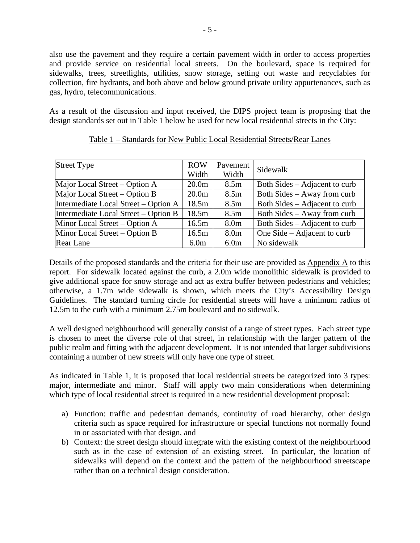also use the pavement and they require a certain pavement width in order to access properties and provide service on residential local streets. On the boulevard, space is required for sidewalks, trees, streetlights, utilities, snow storage, setting out waste and recyclables for collection, fire hydrants, and both above and below ground private utility appurtenances, such as gas, hydro, telecommunications.

As a result of the discussion and input received, the DIPS project team is proposing that the design standards set out in Table 1 below be used for new local residential streets in the City:

| Street Type                          | <b>ROW</b>        | Pavement         | Sidewalk                      |
|--------------------------------------|-------------------|------------------|-------------------------------|
|                                      | Width             | Width            |                               |
| Major Local Street – Option A        | 20.0 <sub>m</sub> | 8.5 <sub>m</sub> | Both Sides – Adjacent to curb |
| Major Local Street – Option B        | 20.0 <sub>m</sub> | 8.5 <sub>m</sub> | Both Sides – Away from curb   |
| Intermediate Local Street – Option A | 18.5m             | 8.5 <sub>m</sub> | Both Sides – Adjacent to curb |
| Intermediate Local Street – Option B | 18.5m             | 8.5m             | Both Sides – Away from curb   |
| Minor Local Street – Option A        | 16.5m             | 8.0 <sub>m</sub> | Both Sides – Adjacent to curb |
| Minor Local Street – Option B        | 16.5m             | 8.0 <sub>m</sub> | One Side – Adjacent to curb   |
| Rear Lane                            | 6.0 <sub>m</sub>  | 6.0 <sub>m</sub> | No sidewalk                   |

## Table 1 – Standards for New Public Local Residential Streets/Rear Lanes

Details of the proposed standards and the criteria for their use are provided as Appendix A to this report. For sidewalk located against the curb, a 2.0m wide monolithic sidewalk is provided to give additional space for snow storage and act as extra buffer between pedestrians and vehicles; otherwise, a 1.7m wide sidewalk is shown, which meets the City's Accessibility Design Guidelines. The standard turning circle for residential streets will have a minimum radius of 12.5m to the curb with a minimum 2.75m boulevard and no sidewalk.

A well designed neighbourhood will generally consist of a range of street types. Each street type is chosen to meet the diverse role of that street, in relationship with the larger pattern of the public realm and fitting with the adjacent development. It is not intended that larger subdivisions containing a number of new streets will only have one type of street.

As indicated in Table 1, it is proposed that local residential streets be categorized into 3 types: major, intermediate and minor. Staff will apply two main considerations when determining which type of local residential street is required in a new residential development proposal:

- a) Function: traffic and pedestrian demands, continuity of road hierarchy, other design criteria such as space required for infrastructure or special functions not normally found in or associated with that design, and
- b) Context: the street design should integrate with the existing context of the neighbourhood such as in the case of extension of an existing street. In particular, the location of sidewalks will depend on the context and the pattern of the neighbourhood streetscape rather than on a technical design consideration.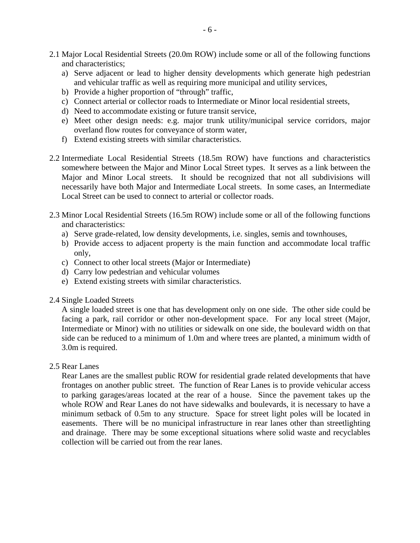- 2.1 Major Local Residential Streets (20.0m ROW) include some or all of the following functions and characteristics;
	- a) Serve adjacent or lead to higher density developments which generate high pedestrian and vehicular traffic as well as requiring more municipal and utility services,
	- b) Provide a higher proportion of "through" traffic,
	- c) Connect arterial or collector roads to Intermediate or Minor local residential streets,
	- d) Need to accommodate existing or future transit service,
	- e) Meet other design needs: e.g. major trunk utility/municipal service corridors, major overland flow routes for conveyance of storm water,
	- f) Extend existing streets with similar characteristics.
- 2.2 Intermediate Local Residential Streets (18.5m ROW) have functions and characteristics somewhere between the Major and Minor Local Street types. It serves as a link between the Major and Minor Local streets. It should be recognized that not all subdivisions will necessarily have both Major and Intermediate Local streets. In some cases, an Intermediate Local Street can be used to connect to arterial or collector roads.
- 2.3 Minor Local Residential Streets (16.5m ROW) include some or all of the following functions and characteristics:
	- a) Serve grade-related, low density developments, i.e. singles, semis and townhouses,
	- b) Provide access to adjacent property is the main function and accommodate local traffic only,
	- c) Connect to other local streets (Major or Intermediate)
	- d) Carry low pedestrian and vehicular volumes
	- e) Extend existing streets with similar characteristics.

## 2.4 Single Loaded Streets

A single loaded street is one that has development only on one side. The other side could be facing a park, rail corridor or other non-development space. For any local street (Major, Intermediate or Minor) with no utilities or sidewalk on one side, the boulevard width on that side can be reduced to a minimum of 1.0m and where trees are planted, a minimum width of 3.0m is required.

## 2.5 Rear Lanes

Rear Lanes are the smallest public ROW for residential grade related developments that have frontages on another public street. The function of Rear Lanes is to provide vehicular access to parking garages/areas located at the rear of a house. Since the pavement takes up the whole ROW and Rear Lanes do not have sidewalks and boulevards, it is necessary to have a minimum setback of 0.5m to any structure. Space for street light poles will be located in easements. There will be no municipal infrastructure in rear lanes other than streetlighting and drainage. There may be some exceptional situations where solid waste and recyclables collection will be carried out from the rear lanes.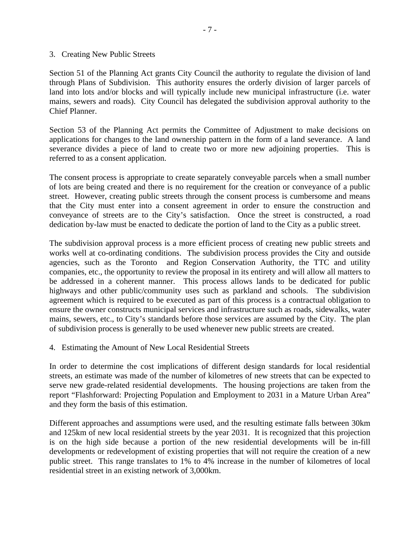#### 3. Creating New Public Streets

Section 51 of the Planning Act grants City Council the authority to regulate the division of land through Plans of Subdivision. This authority ensures the orderly division of larger parcels of land into lots and/or blocks and will typically include new municipal infrastructure (i.e. water mains, sewers and roads). City Council has delegated the subdivision approval authority to the Chief Planner.

Section 53 of the Planning Act permits the Committee of Adjustment to make decisions on applications for changes to the land ownership pattern in the form of a land severance. A land severance divides a piece of land to create two or more new adjoining properties. This is referred to as a consent application.

The consent process is appropriate to create separately conveyable parcels when a small number of lots are being created and there is no requirement for the creation or conveyance of a public street. However, creating public streets through the consent process is cumbersome and means that the City must enter into a consent agreement in order to ensure the construction and conveyance of streets are to the City's satisfaction. Once the street is constructed, a road dedication by-law must be enacted to dedicate the portion of land to the City as a public street.

The subdivision approval process is a more efficient process of creating new public streets and works well at co-ordinating conditions. The subdivision process provides the City and outside agencies, such as the Toronto and Region Conservation Authority, the TTC and utility companies, etc., the opportunity to review the proposal in its entirety and will allow all matters to be addressed in a coherent manner. This process allows lands to be dedicated for public highways and other public/community uses such as parkland and schools. The subdivision agreement which is required to be executed as part of this process is a contractual obligation to ensure the owner constructs municipal services and infrastructure such as roads, sidewalks, water mains, sewers, etc., to City's standards before those services are assumed by the City. The plan of subdivision process is generally to be used whenever new public streets are created.

4. Estimating the Amount of New Local Residential Streets

In order to determine the cost implications of different design standards for local residential streets, an estimate was made of the number of kilometres of new streets that can be expected to serve new grade-related residential developments. The housing projections are taken from the report "Flashforward: Projecting Population and Employment to 2031 in a Mature Urban Area" and they form the basis of this estimation.

Different approaches and assumptions were used, and the resulting estimate falls between 30km and 125km of new local residential streets by the year 2031. It is recognized that this projection is on the high side because a portion of the new residential developments will be in-fill developments or redevelopment of existing properties that will not require the creation of a new public street. This range translates to 1% to 4% increase in the number of kilometres of local residential street in an existing network of 3,000km.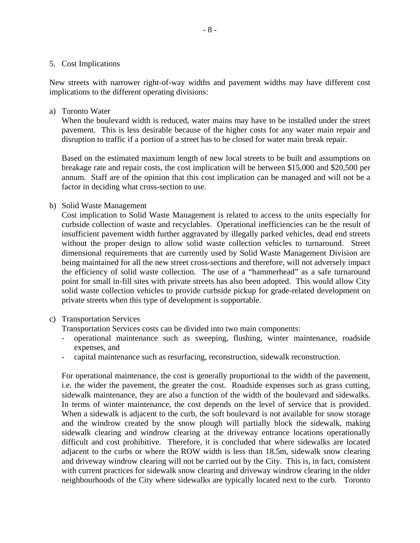#### 5. Cost Implications

New streets with narrower right-of-way widths and pavement widths may have different cost implications to the different operating divisions:

### a) Toronto Water

When the boulevard width is reduced, water mains may have to be installed under the street pavement. This is less desirable because of the higher costs for any water main repair and disruption to traffic if a portion of a street has to be closed for water main break repair.

Based on the estimated maximum length of new local streets to be built and assumptions on breakage rate and repair costs, the cost implication will be between \$15,000 and \$20,500 per annum. Staff are of the opinion that this cost implication can be managed and will not be a factor in deciding what cross-section to use.

## b) Solid Waste Management

Cost implication to Solid Waste Management is related to access to the units especially for curbside collection of waste and recyclables. Operational inefficiencies can be the result of insufficient pavement width further aggravated by illegally parked vehicles, dead end streets without the proper design to allow solid waste collection vehicles to turnaround. Street dimensional requirements that are currently used by Solid Waste Management Division are being maintained for all the new street cross-sections and therefore, will not adversely impact the efficiency of solid waste collection. The use of a "hammerhead" as a safe turnaround point for small in-fill sites with private streets has also been adopted. This would allow City solid waste collection vehicles to provide curbside pickup for grade-related development on private streets when this type of development is supportable.

## c) Transportation Services

Transportation Services costs can be divided into two main components:

- operational maintenance such as sweeping, flushing, winter maintenance, roadside expenses, and
- capital maintenance such as resurfacing, reconstruction, sidewalk reconstruction.

For operational maintenance, the cost is generally proportional to the width of the pavement, i.e. the wider the pavement, the greater the cost. Roadside expenses such as grass cutting, sidewalk maintenance, they are also a function of the width of the boulevard and sidewalks. In terms of winter maintenance, the cost depends on the level of service that is provided. When a sidewalk is adjacent to the curb, the soft boulevard is not available for snow storage and the windrow created by the snow plough will partially block the sidewalk, making sidewalk clearing and windrow clearing at the driveway entrance locations operationally difficult and cost prohibitive. Therefore, it is concluded that where sidewalks are located adjacent to the curbs or where the ROW width is less than 18.5m, sidewalk snow clearing and driveway windrow clearing will not be carried out by the City. This is, in fact, consistent with current practices for sidewalk snow clearing and driveway windrow clearing in the older neighbourhoods of the City where sidewalks are typically located next to the curb. Toronto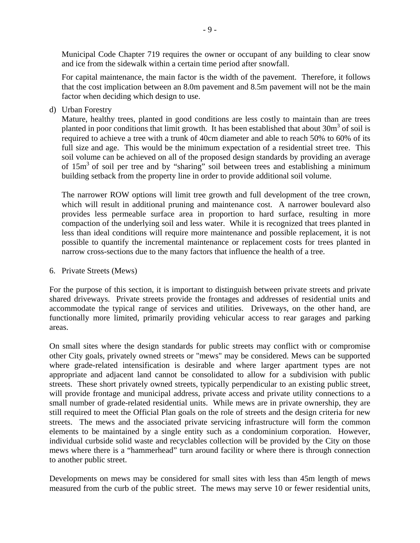Municipal Code Chapter 719 requires the owner or occupant of any building to clear snow and ice from the sidewalk within a certain time period after snowfall.

For capital maintenance, the main factor is the width of the pavement. Therefore, it follows that the cost implication between an 8.0m pavement and 8.5m pavement will not be the main factor when deciding which design to use.

d) Urban Forestry

Mature, healthy trees, planted in good conditions are less costly to maintain than are trees planted in poor conditions that limit growth. It has been established that about  $30m^3$  of soil is required to achieve a tree with a trunk of 40cm diameter and able to reach 50% to 60% of its full size and age. This would be the minimum expectation of a residential street tree. This soil volume can be achieved on all of the proposed design standards by providing an average of 15m<sup>3</sup> of soil per tree and by "sharing" soil between trees and establishing a minimum building setback from the property line in order to provide additional soil volume.

The narrower ROW options will limit tree growth and full development of the tree crown, which will result in additional pruning and maintenance cost. A narrower boulevard also provides less permeable surface area in proportion to hard surface, resulting in more compaction of the underlying soil and less water. While it is recognized that trees planted in less than ideal conditions will require more maintenance and possible replacement, it is not possible to quantify the incremental maintenance or replacement costs for trees planted in narrow cross-sections due to the many factors that influence the health of a tree.

## 6. Private Streets (Mews)

For the purpose of this section, it is important to distinguish between private streets and private shared driveways. Private streets provide the frontages and addresses of residential units and accommodate the typical range of services and utilities. Driveways, on the other hand, are functionally more limited, primarily providing vehicular access to rear garages and parking areas.

On small sites where the design standards for public streets may conflict with or compromise other City goals, privately owned streets or "mews" may be considered. Mews can be supported where grade-related intensification is desirable and where larger apartment types are not appropriate and adjacent land cannot be consolidated to allow for a subdivision with public streets. These short privately owned streets, typically perpendicular to an existing public street, will provide frontage and municipal address, private access and private utility connections to a small number of grade-related residential units. While mews are in private ownership, they are still required to meet the Official Plan goals on the role of streets and the design criteria for new streets. The mews and the associated private servicing infrastructure will form the common elements to be maintained by a single entity such as a condominium corporation. However, individual curbside solid waste and recyclables collection will be provided by the City on those mews where there is a "hammerhead" turn around facility or where there is through connection to another public street.

Developments on mews may be considered for small sites with less than 45m length of mews measured from the curb of the public street. The mews may serve 10 or fewer residential units,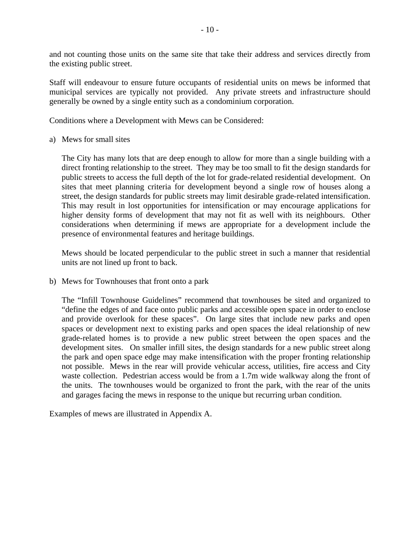and not counting those units on the same site that take their address and services directly from the existing public street.

Staff will endeavour to ensure future occupants of residential units on mews be informed that municipal services are typically not provided. Any private streets and infrastructure should generally be owned by a single entity such as a condominium corporation.

Conditions where a Development with Mews can be Considered:

a) Mews for small sites

The City has many lots that are deep enough to allow for more than a single building with a direct fronting relationship to the street. They may be too small to fit the design standards for public streets to access the full depth of the lot for grade-related residential development. On sites that meet planning criteria for development beyond a single row of houses along a street, the design standards for public streets may limit desirable grade-related intensification. This may result in lost opportunities for intensification or may encourage applications for higher density forms of development that may not fit as well with its neighbours. Other considerations when determining if mews are appropriate for a development include the presence of environmental features and heritage buildings.

Mews should be located perpendicular to the public street in such a manner that residential units are not lined up front to back.

b) Mews for Townhouses that front onto a park

The "Infill Townhouse Guidelines" recommend that townhouses be sited and organized to "define the edges of and face onto public parks and accessible open space in order to enclose and provide overlook for these spaces". On large sites that include new parks and open spaces or development next to existing parks and open spaces the ideal relationship of new grade-related homes is to provide a new public street between the open spaces and the development sites. On smaller infill sites, the design standards for a new public street along the park and open space edge may make intensification with the proper fronting relationship not possible. Mews in the rear will provide vehicular access, utilities, fire access and City waste collection. Pedestrian access would be from a 1.7m wide walkway along the front of the units. The townhouses would be organized to front the park, with the rear of the units and garages facing the mews in response to the unique but recurring urban condition.

Examples of mews are illustrated in Appendix A.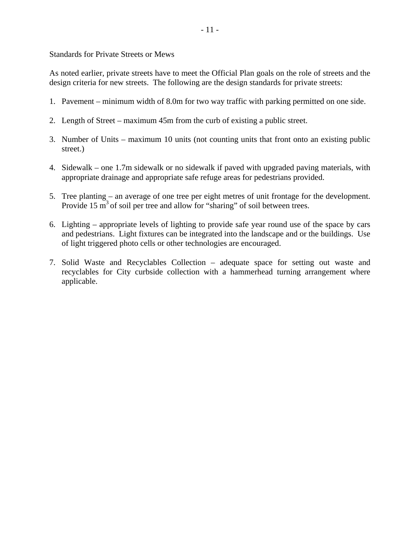Standards for Private Streets or Mews

As noted earlier, private streets have to meet the Official Plan goals on the role of streets and the design criteria for new streets. The following are the design standards for private streets:

- 1. Pavement minimum width of 8.0m for two way traffic with parking permitted on one side.
- 2. Length of Street maximum 45m from the curb of existing a public street.
- 3. Number of Units maximum 10 units (not counting units that front onto an existing public street.)
- 4. Sidewalk one 1.7m sidewalk or no sidewalk if paved with upgraded paving materials, with appropriate drainage and appropriate safe refuge areas for pedestrians provided.
- 5. Tree planting an average of one tree per eight metres of unit frontage for the development. Provide 15  $m<sup>3</sup>$  of soil per tree and allow for "sharing" of soil between trees.
- 6. Lighting appropriate levels of lighting to provide safe year round use of the space by cars and pedestrians. Light fixtures can be integrated into the landscape and or the buildings. Use of light triggered photo cells or other technologies are encouraged.
- 7. Solid Waste and Recyclables Collection adequate space for setting out waste and recyclables for City curbside collection with a hammerhead turning arrangement where applicable.